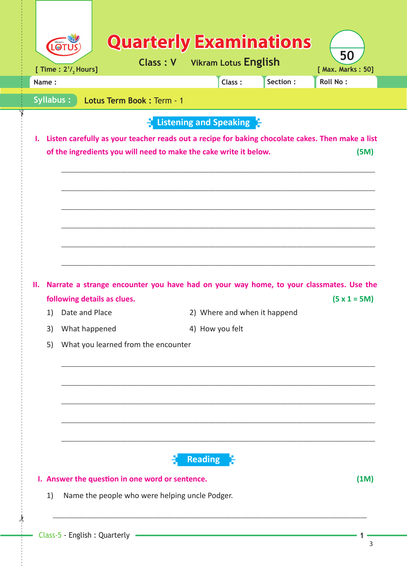|                                           | Section:<br><b>Roll No:</b><br>Class:                                                                                                                                         |
|-------------------------------------------|-------------------------------------------------------------------------------------------------------------------------------------------------------------------------------|
| Syllabus:<br>Lotus Term Book: Term - 1    |                                                                                                                                                                               |
|                                           | Listening and Speaking                                                                                                                                                        |
| Ъ.                                        | Listen carefully as your teacher reads out a recipe for baking chocolate cakes. Then make a list<br>of the ingredients you will need to make the cake write it below.<br>(5M) |
|                                           |                                                                                                                                                                               |
|                                           |                                                                                                                                                                               |
|                                           |                                                                                                                                                                               |
|                                           |                                                                                                                                                                               |
|                                           |                                                                                                                                                                               |
|                                           |                                                                                                                                                                               |
|                                           | Narrate a strange encounter you have had on your way home, to your classmates. Use the                                                                                        |
| following details as clues.               | $(5 x 1 = 5M)$                                                                                                                                                                |
| Date and Place<br>1)                      | 2) Where and when it happend                                                                                                                                                  |
| н.<br>3)<br>What happened                 | 4) How you felt                                                                                                                                                               |
| What you learned from the encounter<br>5) |                                                                                                                                                                               |
|                                           |                                                                                                                                                                               |
|                                           |                                                                                                                                                                               |
|                                           |                                                                                                                                                                               |
|                                           |                                                                                                                                                                               |
|                                           |                                                                                                                                                                               |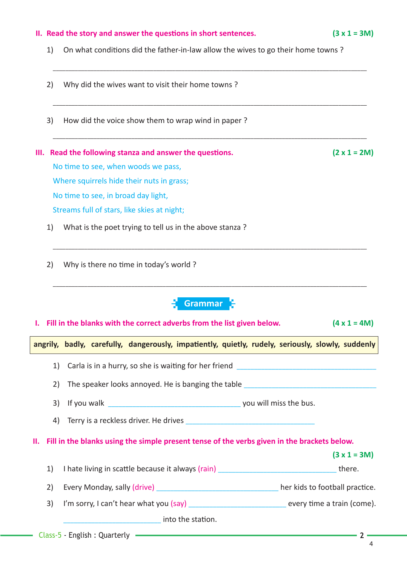## **II.** Read the story and answer the questions in short sentences.  $(3 \times 1 = 3M)$ 1) On what conditions did the father-in-law allow the wives to go their home towns? \_\_\_\_\_\_\_\_\_\_\_\_\_\_\_\_\_\_\_\_\_\_\_\_\_\_\_\_\_\_\_\_\_\_\_\_\_\_\_\_\_\_\_\_\_\_\_\_\_\_\_\_\_\_\_\_\_\_\_\_\_\_\_\_\_\_\_\_\_\_\_\_\_\_\_\_\_\_\_\_\_\_\_\_\_\_\_\_\_\_\_\_\_\_\_\_\_\_\_\_ 2) Why did the wives want to visit their home towns ? \_\_\_\_\_\_\_\_\_\_\_\_\_\_\_\_\_\_\_\_\_\_\_\_\_\_\_\_\_\_\_\_\_\_\_\_\_\_\_\_\_\_\_\_\_\_\_\_\_\_\_\_\_\_\_\_\_\_\_\_\_\_\_\_\_\_\_\_\_\_\_\_\_\_\_\_\_\_\_\_\_\_\_\_\_\_\_\_\_\_\_\_\_\_\_\_\_\_\_\_ 3) How did the voice show them to wrap wind in paper ?  $\overline{\phantom{a}}$  , and the contract of the contract of the contract of the contract of the contract of the contract of the contract of the contract of the contract of the contract of the contract of the contract of the contrac **III.** Read the following stanza and answer the questions.  $(2 \times 1 = 2M)$ No time to see, when woods we pass, Where squirrels hide their nuts in grass; No time to see, in broad day light, Streams full of stars, like skies at night; 1) What is the poet trying to tell us in the above stanza ? \_\_\_\_\_\_\_\_\_\_\_\_\_\_\_\_\_\_\_\_\_\_\_\_\_\_\_\_\_\_\_\_\_\_\_\_\_\_\_\_\_\_\_\_\_\_\_\_\_\_\_\_\_\_\_\_\_\_\_\_\_\_\_\_\_\_\_\_\_\_\_\_\_\_\_\_\_\_\_\_\_\_\_\_\_\_\_\_\_\_\_\_\_\_\_\_\_\_\_\_ 2) Why is there no time in today's world?  $\overline{\phantom{a}}$  , and the contract of the contract of the contract of the contract of the contract of the contract of the contract of the contract of the contract of the contract of the contract of the contract of the contrac **I. Fill in the blanks with the correct adverbs from the list given below. (4 x 1 = 4M) angrily, badly, carefully, dangerously, impati ently, quietly, rudely, seriously, slowly, suddenly** 1) Carla is in a hurry, so she is waiting for her friend \_\_\_\_\_\_\_\_\_\_\_\_\_\_\_\_\_\_\_\_\_\_\_ 2) The speaker looks annoyed. He is banging the table 3) If you walk **South Assembly** you will miss the bus. 4) Terry is a reckless driver. He drives **II. Fill in the blanks using the simple present tense of the verbs given in the brackets below. (3 x 1 = 3M)** 1) I hate living in scatt le because it always (rain) \_\_\_\_\_\_\_\_\_\_\_\_\_\_\_\_\_\_\_\_\_\_\_\_\_\_\_\_\_\_\_\_\_\_ there. 2) Every Monday, sally (drive) and the same of the second term in the kids to football practice. 3) I'm sorry, I can't hear what you (say) \_\_\_\_\_\_\_\_\_\_\_\_\_\_\_\_\_\_\_\_\_\_\_\_\_\_\_\_\_\_\_\_ every time a train (come). into the station. **Grammar**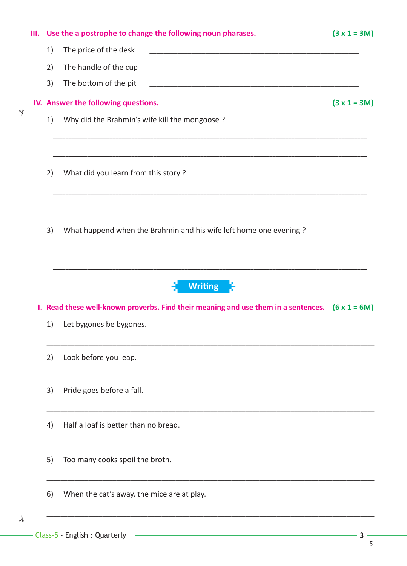| III. |    | Use the a postrophe to change the following noun pharases.                                                                                    | $(3 x 1 = 3M)$ |
|------|----|-----------------------------------------------------------------------------------------------------------------------------------------------|----------------|
|      | 1) | The price of the desk                                                                                                                         |                |
|      | 2) | The handle of the cup<br><u> 1980 - Johann Barn, amerikan bernama di sebagai bernama dalam bernama dalam bernama dalam bernama dalam bern</u> |                |
|      | 3) | The bottom of the pit                                                                                                                         |                |
|      |    | IV. Answer the following questions.                                                                                                           | $(3 x 1 = 3M)$ |
|      | 1) | Why did the Brahmin's wife kill the mongoose?                                                                                                 |                |
|      | 2) | What did you learn from this story?                                                                                                           |                |
|      | 3) | What happend when the Brahmin and his wife left home one evening?                                                                             |                |
|      |    |                                                                                                                                               |                |
|      |    | <b>Writing</b><br>I. Read these well-known proverbs. Find their meaning and use them in a sentences. $(6 \times 1 = 6M)$                      |                |
|      | 1) | Let bygones be bygones.                                                                                                                       |                |
|      | 2) | Look before you leap.                                                                                                                         |                |
|      | 3) | Pride goes before a fall.                                                                                                                     |                |
|      | 4) | Half a loaf is better than no bread.                                                                                                          |                |
|      | 5) | Too many cooks spoil the broth.                                                                                                               |                |
|      | 6) | When the cat's away, the mice are at play.                                                                                                    |                |

 $\frac{1}{2}$ 

Ÿ